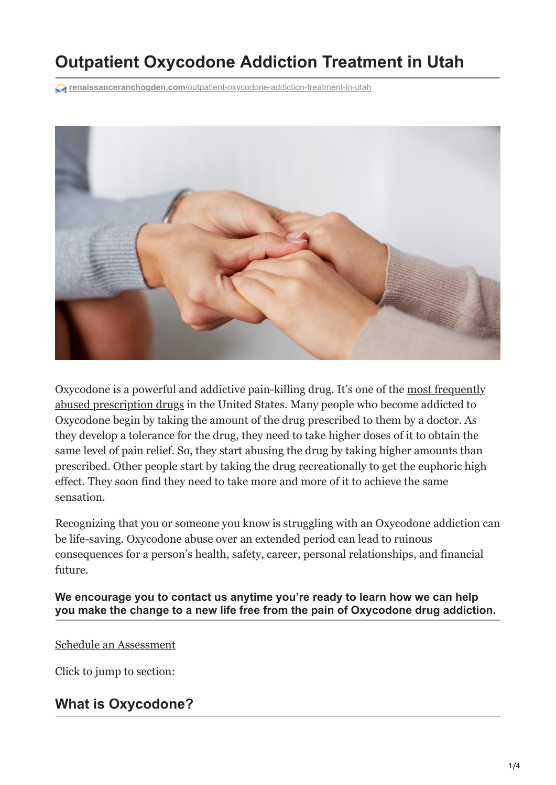# **Outpatient Oxycodone Addiction Treatment in Utah**

**renaissanceranchogden.com**[/outpatient-oxycodone-addiction-treatment-in-utah](https://renaissanceranchogden.com/outpatient-oxycodone-addiction-treatment-in-utah/)



[Oxycodone is a powerful and addictive pain-killing drug. It's one of the most frequently](https://renaissanceranchogden.com/5-most-common-prescription-drug-addictions/) abused prescription drugs in the United States. Many people who become addicted to Oxycodone begin by taking the amount of the drug prescribed to them by a doctor. As they develop a tolerance for the drug, they need to take higher doses of it to obtain the same level of pain relief. So, they start abusing the drug by taking higher amounts than prescribed. Other people start by taking the drug recreationally to get the euphoric high effect. They soon find they need to take more and more of it to achieve the same sensation.

Recognizing that you or someone you know is struggling with an Oxycodone addiction can be life-saving. [Oxycodone abuse](https://renaissanceranchogden.com/the-importance-of-discussing-opioids-with-your-teenager/) over an extended period can lead to ruinous consequences for a person's health, safety, career, personal relationships, and financial future.

**We encourage you to contact us anytime you're ready to learn how we can help you make the change to a new life free from the pain of Oxycodone drug addiction.**

#### [Schedule an Assessment](tel:+13852223737)

Click to jump to section:

#### **What is Oxycodone?**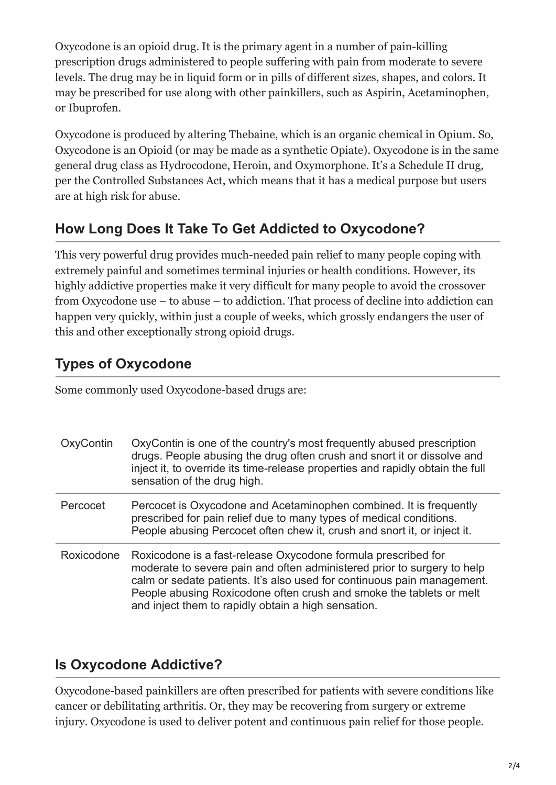Oxycodone is an opioid drug. It is the primary agent in a number of pain-killing prescription drugs administered to people suffering with pain from moderate to severe levels. The drug may be in liquid form or in pills of different sizes, shapes, and colors. It may be prescribed for use along with other painkillers, such as Aspirin, Acetaminophen, or Ibuprofen.

Oxycodone is produced by altering Thebaine, which is an organic chemical in Opium. So, Oxycodone is an Opioid (or may be made as a synthetic Opiate). Oxycodone is in the same general drug class as Hydrocodone, Heroin, and Oxymorphone. It's a Schedule II drug, per the Controlled Substances Act, which means that it has a medical purpose but users are at high risk for abuse.

#### **How Long Does It Take To Get Addicted to Oxycodone?**

This very powerful drug provides much-needed pain relief to many people coping with extremely painful and sometimes terminal injuries or health conditions. However, its highly addictive properties make it very difficult for many people to avoid the crossover from Oxycodone use – to abuse – to addiction. That process of decline into addiction can happen very quickly, within just a couple of weeks, which grossly endangers the user of this and other exceptionally strong opioid drugs.

## **Types of Oxycodone**

Some commonly used Oxycodone-based drugs are:

| OxyContin  | OxyContin is one of the country's most frequently abused prescription<br>drugs. People abusing the drug often crush and snort it or dissolve and<br>inject it, to override its time-release properties and rapidly obtain the full<br>sensation of the drug high.                                                                                 |
|------------|---------------------------------------------------------------------------------------------------------------------------------------------------------------------------------------------------------------------------------------------------------------------------------------------------------------------------------------------------|
| Percocet   | Percocet is Oxycodone and Acetaminophen combined. It is frequently<br>prescribed for pain relief due to many types of medical conditions.<br>People abusing Percocet often chew it, crush and snort it, or inject it.                                                                                                                             |
| Roxicodone | Roxicodone is a fast-release Oxycodone formula prescribed for<br>moderate to severe pain and often administered prior to surgery to help<br>calm or sedate patients. It's also used for continuous pain management.<br>People abusing Roxicodone often crush and smoke the tablets or melt<br>and inject them to rapidly obtain a high sensation. |

#### **Is Oxycodone Addictive?**

Oxycodone-based painkillers are often prescribed for patients with severe conditions like cancer or debilitating arthritis. Or, they may be recovering from surgery or extreme injury. Oxycodone is used to deliver potent and continuous pain relief for those people.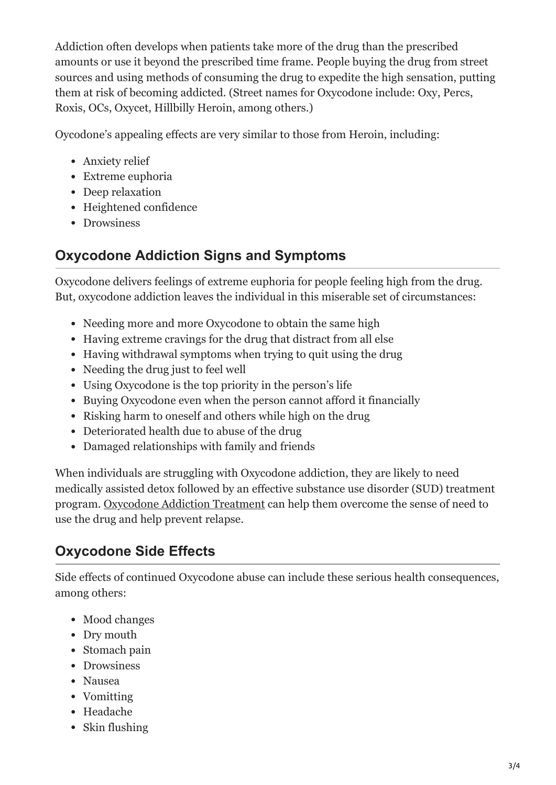Addiction often develops when patients take more of the drug than the prescribed amounts or use it beyond the prescribed time frame. People buying the drug from street sources and using methods of consuming the drug to expedite the high sensation, putting them at risk of becoming addicted. (Street names for Oxycodone include: Oxy, Percs, Roxis, OCs, Oxycet, Hillbilly Heroin, among others.)

Oycodone's appealing effects are very similar to those from Heroin, including:

- Anxiety relief
- Extreme euphoria
- Deep relaxation
- Heightened confidence
- Drowsiness

### **Oxycodone Addiction Signs and Symptoms**

Oxycodone delivers feelings of extreme euphoria for people feeling high from the drug. But, oxycodone addiction leaves the individual in this miserable set of circumstances:

- Needing more and more Oxycodone to obtain the same high
- Having extreme cravings for the drug that distract from all else
- Having withdrawal symptoms when trying to quit using the drug
- Needing the drug just to feel well
- Using Oxycodone is the top priority in the person's life
- Buying Oxycodone even when the person cannot afford it financially
- Risking harm to oneself and others while high on the drug
- Deteriorated health due to abuse of the drug
- Damaged relationships with family and friends

When individuals are struggling with Oxycodone addiction, they are likely to need medically assisted detox followed by an effective substance use disorder (SUD) treatment program. [Oxycodone Addiction Treatment](https://renaissanceranchogden.com/5-life-changing-benefits-of-completing-drug-rehab/) can help them overcome the sense of need to use the drug and help prevent relapse.

### **Oxycodone Side Effects**

Side effects of continued Oxycodone abuse can include these serious health consequences, among others:

- Mood changes
- Dry mouth
- Stomach pain
- Drowsiness
- Nausea
- Vomitting
- Headache
- Skin flushing